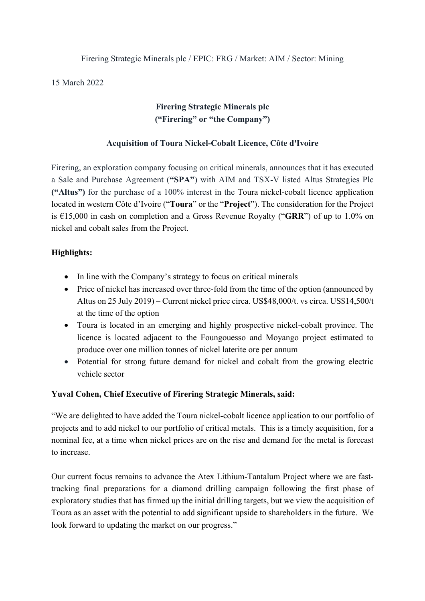#### Firering Strategic Minerals plc / EPIC: FRG / Market: AIM / Sector: Mining

15 March 2022

# **Firering Strategic Minerals plc ("Firering" or "the Company")**

# **Acquisition of Toura Nickel-Cobalt Licence, Côte d'Ivoire**

Firering, an exploration company focusing on critical minerals, announces that it has executed a Sale and Purchase Agreement (**"SPA"**) with AIM and TSX-V listed Altus Strategies Plc **("Altus")** for the purchase of a 100% interest in the Toura nickel-cobalt licence application located in western Côte d'Ivoire ("**Toura**" or the "**Project**"). The consideration for the Project is €15,000 in cash on completion and a Gross Revenue Royalty ("**GRR**") of up to 1.0% on nickel and cobalt sales from the Project.

# **Highlights:**

- In line with the Company's strategy to focus on critical minerals
- Price of nickel has increased over three-fold from the time of the option (announced by Altus on 25 July 2019) **–** Current nickel price circa. US\$48,000/t. vs circa. US\$14,500/t at the time of the option
- Toura is located in an emerging and highly prospective nickel-cobalt province. The licence is located adjacent to the Foungouesso and Moyango project estimated to produce over one million tonnes of nickel laterite ore per annum
- Potential for strong future demand for nickel and cobalt from the growing electric vehicle sector

# **Yuval Cohen, Chief Executive of Firering Strategic Minerals, said:**

"We are delighted to have added the Toura nickel-cobalt licence application to our portfolio of projects and to add nickel to our portfolio of critical metals. This is a timely acquisition, for a nominal fee, at a time when nickel prices are on the rise and demand for the metal is forecast to increase.

Our current focus remains to advance the Atex Lithium-Tantalum Project where we are fasttracking final preparations for a diamond drilling campaign following the first phase of exploratory studies that has firmed up the initial drilling targets, but we view the acquisition of Toura as an asset with the potential to add significant upside to shareholders in the future. We look forward to updating the market on our progress."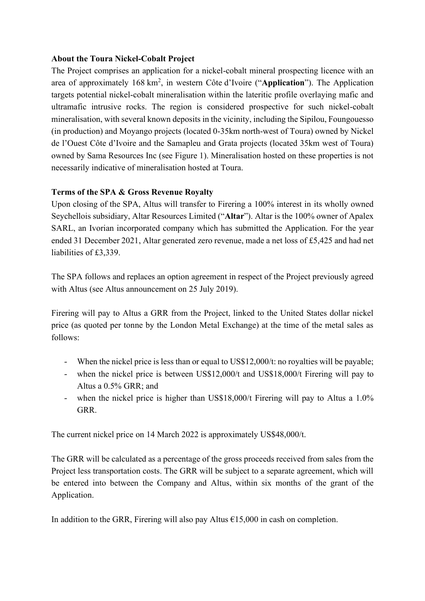#### **About the Toura Nickel-Cobalt Project**

The Project comprises an application for a nickel-cobalt mineral prospecting licence with an area of approximately 168 km<sup>2</sup> , in western Côte d'Ivoire ("**Application**"). The Application targets potential nickel-cobalt mineralisation within the lateritic profile overlaying mafic and ultramafic intrusive rocks. The region is considered prospective for such nickel-cobalt mineralisation, with several known deposits in the vicinity, including the Sipilou, Foungouesso (in production) and Moyango projects (located 0-35km north-west of Toura) owned by Nickel de l'Ouest Côte d'Ivoire and the Samapleu and Grata projects (located 35km west of Toura) owned by Sama Resources Inc (see Figure 1). Mineralisation hosted on these properties is not necessarily indicative of mineralisation hosted at Toura.

# **Terms of the SPA & Gross Revenue Royalty**

Upon closing of the SPA, Altus will transfer to Firering a 100% interest in its wholly owned Seychellois subsidiary, Altar Resources Limited ("**Altar**"). Altar is the 100% owner of Apalex SARL, an Ivorian incorporated company which has submitted the Application. For the year ended 31 December 2021, Altar generated zero revenue, made a net loss of £5,425 and had net liabilities of £3,339.

The SPA follows and replaces an option agreement in respect of the Project previously agreed with Altus (see Altus announcement on 25 July 2019).

Firering will pay to Altus a GRR from the Project, linked to the United States dollar nickel price (as quoted per tonne by the London Metal Exchange) at the time of the metal sales as follows:

- When the nickel price is less than or equal to US\$12,000/t: no royalties will be payable;
- when the nickel price is between US\$12,000/t and US\$18,000/t Firering will pay to Altus a 0.5% GRR; and
- when the nickel price is higher than US\$18,000/t Firering will pay to Altus a 1.0% GRR.

The current nickel price on 14 March 2022 is approximately US\$48,000/t.

The GRR will be calculated as a percentage of the gross proceeds received from sales from the Project less transportation costs. The GRR will be subject to a separate agreement, which will be entered into between the Company and Altus, within six months of the grant of the Application.

In addition to the GRR, Firering will also pay Altus  $\epsilon$ 15,000 in cash on completion.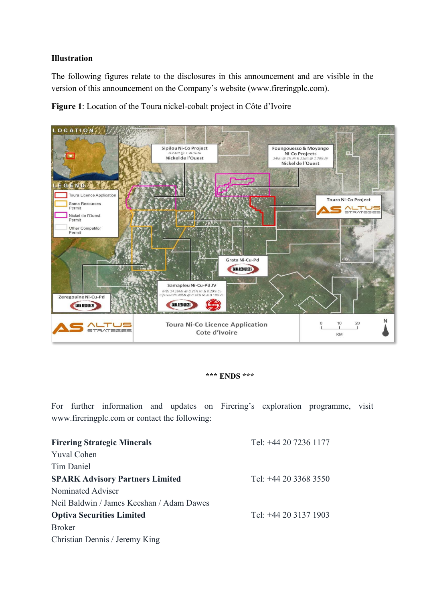#### **Illustration**

The following figures relate to the disclosures in this announcement and are visible in the version of this announcement on the Company's website (www.fireringplc.com).

**Figure 1**: Location of the Toura nickel-cobalt project in Côte d'Ivoire



#### **\*\*\* ENDS \*\*\***

For further information and updates on Firering's exploration programme, visit www.fireringplc.com or contact the following:

| <b>Firering Strategic Minerals</b>        | Tel: +44 20 7236 1177 |
|-------------------------------------------|-----------------------|
| <b>Yuval Cohen</b>                        |                       |
| Tim Daniel                                |                       |
| <b>SPARK Advisory Partners Limited</b>    | Tel: +44 20 3368 3550 |
| Nominated Adviser                         |                       |
| Neil Baldwin / James Keeshan / Adam Dawes |                       |
| <b>Optiva Securities Limited</b>          | Tel: +44 20 3137 1903 |
| <b>Broker</b>                             |                       |
| Christian Dennis / Jeremy King            |                       |